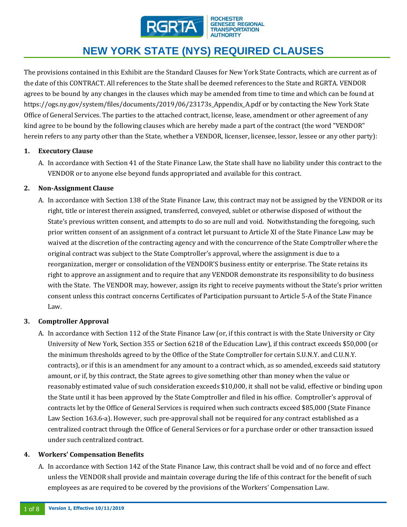

#### **ROCHESTER GENESEE REGIONAL TRANSPORTATION ALITHORITY**

# **NEW YORK STATE (NYS) REQUIRED CLAUSES**

The provisions contained in this Exhibit are the Standard Clauses for New York State Contracts, which are current as of the date of this CONTRACT. All references to the State shall be deemed references to the State and RGRTA. VENDOR agrees to be bound by any changes in the clauses which may be amended from time to time and which can be found at https://ogs.ny.gov/system/files/documents/2019/06/23173s\_Appendix\_A.pdf or by contacting the New York State Office of General Services. The parties to the attached contract, license, lease, amendment or other agreement of any kind agree to be bound by the following clauses which are hereby made a part of the contract (the word "VENDOR" herein refers to any party other than the State, whether a VENDOR, licenser, licensee, lessor, lessee or any other party):

### **1. Executory Clause**

A. In accordance with Section 41 of the State Finance Law, the State shall have no liability under this contract to the VENDOR or to anyone else beyond funds appropriated and available for this contract.

### **2. Non-Assignment Clause**

A. In accordance with Section 138 of the State Finance Law, this contract may not be assigned by the VENDOR or its right, title or interest therein assigned, transferred, conveyed, sublet or otherwise disposed of without the State's previous written consent, and attempts to do so are null and void. Notwithstanding the foregoing, such prior written consent of an assignment of a contract let pursuant to Article XI of the State Finance Law may be waived at the discretion of the contracting agency and with the concurrence of the State Comptroller where the original contract was subject to the State Comptroller's approval, where the assignment is due to a reorganization, merger or consolidation of the VENDOR'S business entity or enterprise. The State retains its right to approve an assignment and to require that any VENDOR demonstrate its responsibility to do business with the State. The VENDOR may, however, assign its right to receive payments without the State's prior written consent unless this contract concerns Certificates of Participation pursuant to Article 5-A of the State Finance Law.

## **3. Comptroller Approval**

A. In accordance with Section 112 of the State Finance Law (or, if this contract is with the State University or City University of New York, Section 355 or Section 6218 of the Education Law), if this contract exceeds \$50,000 (or the minimum thresholds agreed to by the Office of the State Comptroller for certain S.U.N.Y. and C.U.N.Y. contracts), or if this is an amendment for any amount to a contract which, as so amended, exceeds said statutory amount, or if, by this contract, the State agrees to give something other than money when the value or reasonably estimated value of such consideration exceeds \$10,000, it shall not be valid, effective or binding upon the State until it has been approved by the State Comptroller and filed in his office. Comptroller's approval of contracts let by the Office of General Services is required when such contracts exceed \$85,000 (State Finance Law Section 163.6-a). However, such pre-approval shall not be required for any contract established as a centralized contract through the Office of General Services or for a purchase order or other transaction issued under such centralized contract.

### **4. Workers' Compensation Benefits**

A. In accordance with Section 142 of the State Finance Law, this contract shall be void and of no force and effect unless the VENDOR shall provide and maintain coverage during the life of this contract for the benefit of such employees as are required to be covered by the provisions of the Workers' Compensation Law.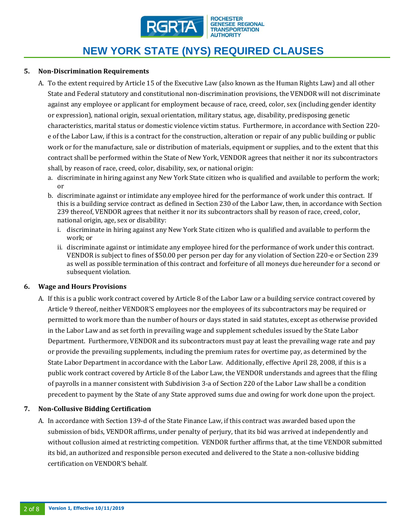

### **5. Non-Discrimination Requirements**

- A. To the extent required by Article 15 of the Executive Law (also known as the Human Rights Law) and all other State and Federal statutory and constitutional non-discrimination provisions, the VENDOR will not discriminate against any employee or applicant for employment because of race, creed, color, sex (including gender identity or expression), national origin, sexual orientation, military status, age, disability, predisposing genetic characteristics, marital status or domestic violence victim status. Furthermore, in accordance with Section 220 e of the Labor Law, if this is a contract for the construction, alteration or repair of any public building or public work or for the manufacture, sale or distribution of materials, equipment or supplies, and to the extent that this contract shall be performed within the State of New York, VENDOR agrees that neither it nor its subcontractors shall, by reason of race, creed, color, disability, sex, or national origin:
	- a. discriminate in hiring against any New York State citizen who is qualified and available to perform the work; or
	- b. discriminate against or intimidate any employee hired for the performance of work under this contract. If this is a building service contract as defined in Section 230 of the Labor Law, then, in accordance with Section 239 thereof, VENDOR agrees that neither it nor its subcontractors shall by reason of race, creed, color, national origin, age, sex or disability:
		- i. discriminate in hiring against any New York State citizen who is qualified and available to perform the work; or
		- ii. discriminate against or intimidate any employee hired for the performance of work under this contract. VENDOR is subject to fines of \$50.00 per person per day for any violation of Section 220-e or Section 239 as well as possible termination of this contract and forfeiture of all moneys due hereunder for a second or subsequent violation.

#### **6. Wage and Hours Provisions**

A. If this is a public work contract covered by Article 8 of the Labor Law or a building service contract covered by Article 9 thereof, neither VENDOR'S employees nor the employees of its subcontractors may be required or permitted to work more than the number of hours or days stated in said statutes, except as otherwise provided in the Labor Law and as set forth in prevailing wage and supplement schedules issued by the State Labor Department. Furthermore, VENDOR and its subcontractors must pay at least the prevailing wage rate and pay or provide the prevailing supplements, including the premium rates for overtime pay, as determined by the State Labor Department in accordance with the Labor Law. Additionally, effective April 28, 2008, if this is a public work contract covered by Article 8 of the Labor Law, the VENDOR understands and agrees that the filing of payrolls in a manner consistent with Subdivision 3-a of Section 220 of the Labor Law shall be a condition precedent to payment by the State of any State approved sums due and owing for work done upon the project.

### **7. Non-Collusive Bidding Certification**

A. In accordance with Section 139-d of the State Finance Law, if this contract was awarded based upon the submission of bids, VENDOR affirms, under penalty of perjury, that its bid was arrived at independently and without collusion aimed at restricting competition. VENDOR further affirms that, at the time VENDOR submitted its bid, an authorized and responsible person executed and delivered to the State a non-collusive bidding certification on VENDOR'S behalf.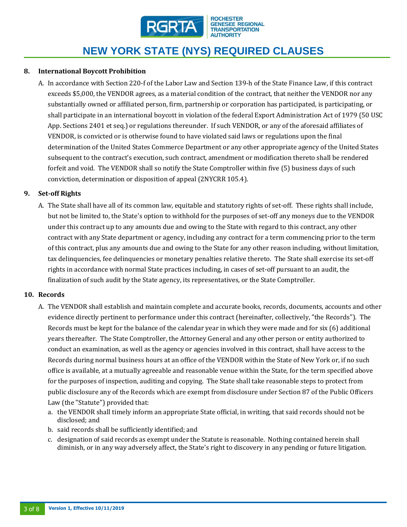

### **8. International Boycott Prohibition**

A. In accordance with Section 220-f of the Labor Law and Section 139-h of the State Finance Law, if this contract exceeds \$5,000, the VENDOR agrees, as a material condition of the contract, that neither the VENDOR nor any substantially owned or affiliated person, firm, partnership or corporation has participated, is participating, or shall participate in an international boycott in violation of the federal Export Administration Act of 1979 (50 USC App. Sections 2401 et seq.) or regulations thereunder. If such VENDOR, or any of the aforesaid affiliates of VENDOR, is convicted or is otherwise found to have violated said laws or regulations upon the final determination of the United States Commerce Department or any other appropriate agency of the United States subsequent to the contract's execution, such contract, amendment or modification thereto shall be rendered forfeit and void. The VENDOR shall so notify the State Comptroller within five (5) business days of such conviction, determination or disposition of appeal (2NYCRR 105.4).

#### **9. Set-off Rights**

A. The State shall have all of its common law, equitable and statutory rights of set-off. These rights shall include, but not be limited to, the State's option to withhold for the purposes of set-off any moneys due to the VENDOR under this contract up to any amounts due and owing to the State with regard to this contract, any other contract with any State department or agency, including any contract for a term commencing prior to the term of this contract, plus any amounts due and owing to the State for any other reason including, without limitation, tax delinquencies, fee delinquencies or monetary penalties relative thereto. The State shall exercise its set-off rights in accordance with normal State practices including, in cases of set-off pursuant to an audit, the finalization of such audit by the State agency, its representatives, or the State Comptroller.

#### **10. Records**

- A. The VENDOR shall establish and maintain complete and accurate books, records, documents, accounts and other evidence directly pertinent to performance under this contract (hereinafter, collectively, "the Records"). The Records must be kept for the balance of the calendar year in which they were made and for six (6) additional years thereafter. The State Comptroller, the Attorney General and any other person or entity authorized to conduct an examination, as well as the agency or agencies involved in this contract, shall have access to the Records during normal business hours at an office of the VENDOR within the State of New York or, if no such office is available, at a mutually agreeable and reasonable venue within the State, for the term specified above for the purposes of inspection, auditing and copying. The State shall take reasonable steps to protect from public disclosure any of the Records which are exempt from disclosure under Section 87 of the Public Officers Law (the "Statute") provided that:
	- a. the VENDOR shall timely inform an appropriate State official, in writing, that said records should not be disclosed; and
	- b. said records shall be sufficiently identified; and
	- c. designation of said records as exempt under the Statute is reasonable. Nothing contained herein shall diminish, or in any way adversely affect, the State's right to discovery in any pending or future litigation.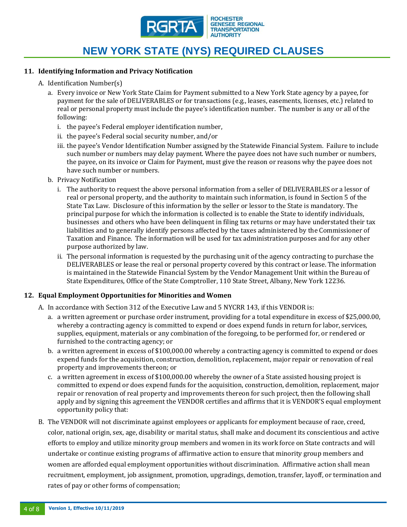

#### **11. Identifying Information and Privacy Notification**

- A. Identification Number(s)
	- a. Every invoice or New York State Claim for Payment submitted to a New York State agency by a payee, for payment for the sale of DELIVERABLES or for transactions (e.g., leases, easements, licenses, etc.) related to real or personal property must include the payee's identification number. The number is any or all of the following:
		- i. the payee's Federal employer identification number,
		- ii. the payee's Federal social security number, and/or
		- iii. the payee's Vendor Identification Number assigned by the Statewide Financial System. Failure to include such number or numbers may delay payment. Where the payee does not have such number or numbers, the payee, on its invoice or Claim for Payment, must give the reason or reasons why the payee does not have such number or numbers.
	- b. Privacy Notification
		- i. The authority to request the above personal information from a seller of DELIVERABLES or a lessor of real or personal property, and the authority to maintain such information, is found in Section 5 of the State Tax Law. Disclosure of this information by the seller or lessor to the State is mandatory. The principal purpose for which the information is collected is to enable the State to identify individuals, businesses and others who have been delinquent in filing tax returns or may have understated their tax liabilities and to generally identify persons affected by the taxes administered by the Commissioner of Taxation and Finance. The information will be used for tax administration purposes and for any other purpose authorized by law.
		- ii. The personal information is requested by the purchasing unit of the agency contracting to purchase the DELIVERABLES or lease the real or personal property covered by this contract or lease. The information is maintained in the Statewide Financial System by the Vendor Management Unit within the Bureau of State Expenditures, Office of the State Comptroller, 110 State Street, Albany, New York 12236.

#### **12. Equal Employment Opportunities for Minorities and Women**

- A. In accordance with Section 312 of the Executive Law and 5 NYCRR 143, if this VENDOR is:
	- a. a written agreement or purchase order instrument, providing for a total expenditure in excess of \$25,000.00, whereby a contracting agency is committed to expend or does expend funds in return for labor, services, supplies, equipment, materials or any combination of the foregoing, to be performed for, or rendered or furnished to the contracting agency; or
	- b. a written agreement in excess of \$100,000.00 whereby a contracting agency is committed to expend or does expend funds for the acquisition, construction, demolition, replacement, major repair or renovation of real property and improvements thereon; or
	- c. a written agreement in excess of \$100,000.00 whereby the owner of a State assisted housing project is committed to expend or does expend funds for the acquisition, construction, demolition, replacement, major repair or renovation of real property and improvements thereon for such project, then the following shall apply and by signing this agreement the VENDOR certifies and affirms that it is VENDOR'S equal employment opportunity policy that:
- B. The VENDOR will not discriminate against employees or applicants for employment because of race, creed, color, national origin, sex, age, disability or marital status, shall make and document its conscientious and active efforts to employ and utilize minority group members and women in its work force on State contracts and will undertake or continue existing programs of affirmative action to ensure that minority group members and women are afforded equal employment opportunities without discrimination. Affirmative action shall mean recruitment, employment, job assignment, promotion, upgradings, demotion, transfer, layoff, or termination and rates of pay or other forms of compensation;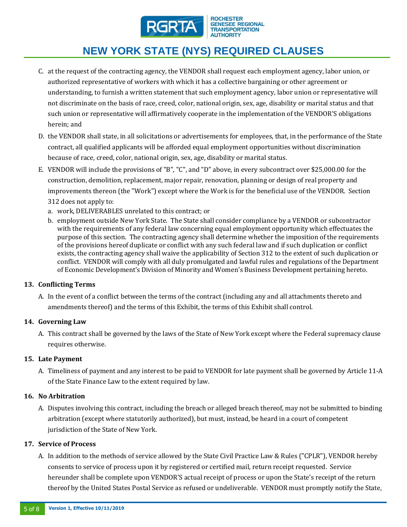

- C. at the request of the contracting agency, the VENDOR shall request each employment agency, labor union, or authorized representative of workers with which it has a collective bargaining or other agreement or understanding, to furnish a written statement that such employment agency, labor union or representative will not discriminate on the basis of race, creed, color, national origin, sex, age, disability or marital status and that such union or representative will affirmatively cooperate in the implementation of the VENDOR'S obligations herein; and
- D. the VENDOR shall state, in all solicitations or advertisements for employees, that, in the performance of the State contract, all qualified applicants will be afforded equal employment opportunities without discrimination because of race, creed, color, national origin, sex, age, disability or marital status.
- E. VENDOR will include the provisions of "B", "C", and "D" above, in every subcontract over \$25,000.00 for the construction, demolition, replacement, major repair, renovation, planning or design of real property and improvements thereon (the "Work") except where the Work is for the beneficial use of the VENDOR. Section 312 does not apply to:
	- a. work, DELIVERABLES unrelated to this contract; or
	- b. employment outside New York State. The State shall consider compliance by a VENDOR or subcontractor with the requirements of any federal law concerning equal employment opportunity which effectuates the purpose of this section. The contracting agency shall determine whether the imposition of the requirements of the provisions hereof duplicate or conflict with any such federal law and if such duplication or conflict exists, the contracting agency shall waive the applicability of Section 312 to the extent of such duplication or conflict. VENDOR will comply with all duly promulgated and lawful rules and regulations of the Department of Economic Development's Division of Minority and Women's Business Development pertaining hereto.

### **13. Conflicting Terms**

A. In the event of a conflict between the terms of the contract (including any and all attachments thereto and amendments thereof) and the terms of this Exhibit, the terms of this Exhibit shall control.

### **14. Governing Law**

A. This contract shall be governed by the laws of the State of New York except where the Federal supremacy clause requires otherwise.

#### **15. Late Payment**

A. Timeliness of payment and any interest to be paid to VENDOR for late payment shall be governed by Article 11-A of the State Finance Law to the extent required by law.

#### **16. No Arbitration**

A. Disputes involving this contract, including the breach or alleged breach thereof, may not be submitted to binding arbitration (except where statutorily authorized), but must, instead, be heard in a court of competent jurisdiction of the State of New York.

#### **17. Service of Process**

A. In addition to the methods of service allowed by the State Civil Practice Law & Rules ("CPLR"), VENDOR hereby consents to service of process upon it by registered or certified mail, return receipt requested. Service hereunder shall be complete upon VENDOR'S actual receipt of process or upon the State's receipt of the return thereof by the United States Postal Service as refused or undeliverable. VENDOR must promptly notify the State,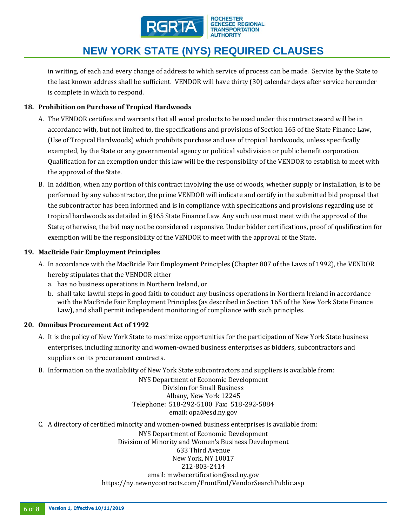

**ROCHESTER GENESEE REGIONAL TRANSPORTATION AUTHORITY** 

# **NEW YORK STATE (NYS) REQUIRED CLAUSES**

in writing, of each and every change of address to which service of process can be made. Service by the State to the last known address shall be sufficient. VENDOR will have thirty (30) calendar days after service hereunder is complete in which to respond.

### **18. Prohibition on Purchase of Tropical Hardwoods**

- A. The VENDOR certifies and warrants that all wood products to be used under this contract award will be in accordance with, but not limited to, the specifications and provisions of Section 165 of the State Finance Law, (Use of Tropical Hardwoods) which prohibits purchase and use of tropical hardwoods, unless specifically exempted, by the State or any governmental agency or political subdivision or public benefit corporation. Qualification for an exemption under this law will be the responsibility of the VENDOR to establish to meet with the approval of the State.
- B. In addition, when any portion of this contract involving the use of woods, whether supply or installation, is to be performed by any subcontractor, the prime VENDOR will indicate and certify in the submitted bid proposal that the subcontractor has been informed and is in compliance with specifications and provisions regarding use of tropical hardwoods as detailed in §165 State Finance Law. Any such use must meet with the approval of the State; otherwise, the bid may not be considered responsive. Under bidder certifications, proof of qualification for exemption will be the responsibility of the VENDOR to meet with the approval of the State.

### **19. MacBride Fair Employment Principles**

- A. In accordance with the MacBride Fair Employment Principles (Chapter 807 of the Laws of 1992), the VENDOR hereby stipulates that the VENDOR either
	- a. has no business operations in Northern Ireland, or
	- b. shall take lawful steps in good faith to conduct any business operations in Northern Ireland in accordance with the MacBride Fair Employment Principles (as described in Section 165 of the New York State Finance Law), and shall permit independent monitoring of compliance with such principles.

### **20. Omnibus Procurement Act of 1992**

- A. It is the policy of New York State to maximize opportunities for the participation of New York State business enterprises, including minority and women-owned business enterprises as bidders, subcontractors and suppliers on its procurement contracts.
- B. Information on the availability of New York State subcontractors and suppliers is available from:

NYS Department of Economic Development Division for Small Business Albany, New York 12245 Telephone: 518-292-5100 Fax: 518-292-5884 email: opa@esd.ny.gov

C. A directory of certified minority and women-owned business enterprises is available from:

NYS Department of Economic Development Division of Minority and Women's Business Development 633 Third Avenue New York, NY 10017 212-803-2414 email: mwbecertification@esd.ny.gov https://ny.newnycontracts.com/FrontEnd/VendorSearchPublic.asp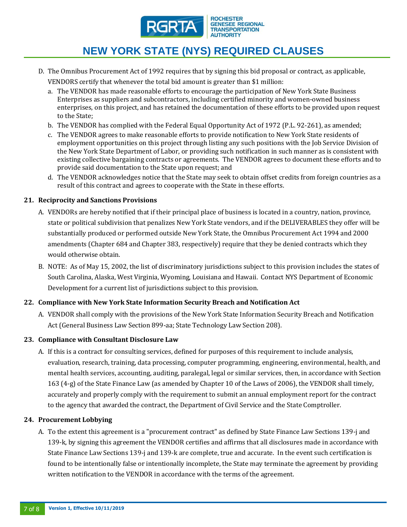

D. The Omnibus Procurement Act of 1992 requires that by signing this bid proposal or contract, as applicable,

VENDORS certify that whenever the total bid amount is greater than \$1 million:

- a. The VENDOR has made reasonable efforts to encourage the participation of New York State Business Enterprises as suppliers and subcontractors, including certified minority and women-owned business enterprises, on this project, and has retained the documentation of these efforts to be provided upon request to the State;
- b. The VENDOR has complied with the Federal Equal Opportunity Act of 1972 (P.L. 92-261), as amended;
- c. The VENDOR agrees to make reasonable efforts to provide notification to New York State residents of employment opportunities on this project through listing any such positions with the Job Service Division of the New York State Department of Labor, or providing such notification in such manner as is consistent with existing collective bargaining contracts or agreements. The VENDOR agrees to document these efforts and to provide said documentation to the State upon request; and
- d. The VENDOR acknowledges notice that the State may seek to obtain offset credits from foreign countries as a result of this contract and agrees to cooperate with the State in these efforts.

### **21. Reciprocity and Sanctions Provisions**

- A. VENDORs are hereby notified that if their principal place of business is located in a country, nation, province, state or political subdivision that penalizes New York State vendors, and if the DELIVERABLES they offer will be substantially produced or performed outside New York State, the Omnibus Procurement Act 1994 and 2000 amendments (Chapter 684 and Chapter 383, respectively) require that they be denied contracts which they would otherwise obtain.
- B. NOTE: As of May 15, 2002, the list of discriminatory jurisdictions subject to this provision includes the states of South Carolina, Alaska, West Virginia, Wyoming, Louisiana and Hawaii. Contact NYS Department of Economic Development for a current list of jurisdictions subject to this provision.

## **22. Compliance with New York State Information Security Breach and Notification Act**

A. VENDOR shall comply with the provisions of the New York State Information Security Breach and Notification Act (General Business Law Section 899-aa; State Technology Law Section 208).

### **23. Compliance with Consultant Disclosure Law**

A. If this is a contract for consulting services, defined for purposes of this requirement to include analysis, evaluation, research, training, data processing, computer programming, engineering, environmental, health, and mental health services, accounting, auditing, paralegal, legal or similar services, then, in accordance with Section 163 (4-g) of the State Finance Law (as amended by Chapter 10 of the Laws of 2006), the VENDOR shall timely, accurately and properly comply with the requirement to submit an annual employment report for the contract to the agency that awarded the contract, the Department of Civil Service and the State Comptroller.

### **24. Procurement Lobbying**

A. To the extent this agreement is a "procurement contract" as defined by State Finance Law Sections 139-j and 139-k, by signing this agreement the VENDOR certifies and affirms that all disclosures made in accordance with State Finance Law Sections 139-j and 139-k are complete, true and accurate. In the event such certification is found to be intentionally false or intentionally incomplete, the State may terminate the agreement by providing written notification to the VENDOR in accordance with the terms of the agreement.